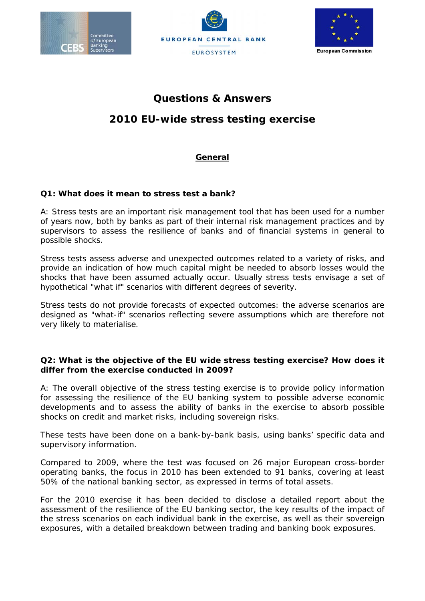





#### **European Commission**

# **Questions & Answers**

# **2010 EU-wide stress testing exercise**

# **General**

# **Q1: What does it mean to stress test a bank?**

A: Stress tests are an important risk management tool that has been used for a number of years now, both by banks as part of their internal risk management practices and by supervisors to assess the resilience of banks and of financial systems in general to possible shocks.

Stress tests assess adverse and unexpected outcomes related to a variety of risks, and provide an indication of how much capital might be needed to absorb losses would the shocks that have been assumed actually occur. Usually stress tests envisage a set of hypothetical "what if" scenarios with different degrees of severity.

Stress tests do not provide forecasts of expected outcomes: the adverse scenarios are designed as "what-if" scenarios reflecting severe assumptions which are therefore not very likely to materialise.

# **Q2: What is the objective of the EU wide stress testing exercise? How does it differ from the exercise conducted in 2009?**

A: The overall objective of the stress testing exercise is to provide policy information for assessing the resilience of the EU banking system to possible adverse economic developments and to assess the ability of banks in the exercise to absorb possible shocks on credit and market risks, including sovereign risks.

These tests have been done on a bank-by-bank basis, using banks' specific data and supervisory information.

Compared to 2009, where the test was focused on 26 major European cross-border operating banks, the focus in 2010 has been extended to 91 banks, covering at least 50% of the national banking sector, as expressed in terms of total assets.

For the 2010 exercise it has been decided to disclose a detailed report about the assessment of the resilience of the EU banking sector, the key results of the impact of the stress scenarios on each individual bank in the exercise, as well as their sovereign exposures, with a detailed breakdown between trading and banking book exposures.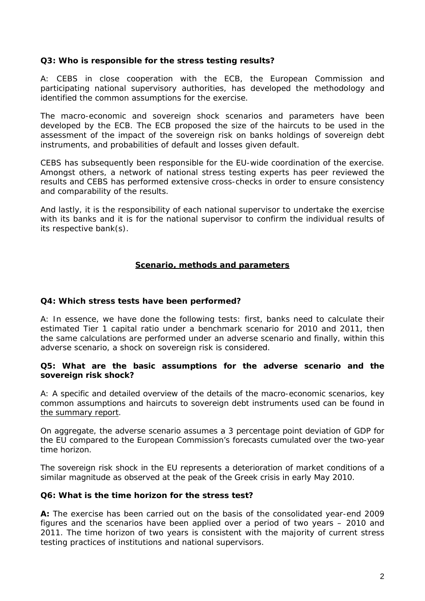# **Q3: Who is responsible for the stress testing results?**

A: CEBS in close cooperation with the ECB, the European Commission and participating national supervisory authorities, has developed the methodology and identified the common assumptions for the exercise.

The macro-economic and sovereign shock scenarios and parameters have been developed by the ECB. The ECB proposed the size of the haircuts to be used in the assessment of the impact of the sovereign risk on banks holdings of sovereign debt instruments, and probabilities of default and losses given default.

CEBS has subsequently been responsible for the EU-wide coordination of the exercise. Amongst others, a network of national stress testing experts has peer reviewed the results and CEBS has performed extensive cross-checks in order to ensure consistency and comparability of the results.

And lastly, it is the responsibility of each national supervisor to undertake the exercise with its banks and it is for the national supervisor to confirm the individual results of its respective bank(s).

# **Scenario, methods and parameters**

# **Q4: Which stress tests have been performed?**

A: In essence, we have done the following tests: first, banks need to calculate their estimated Tier 1 capital ratio under a benchmark scenario for 2010 and 2011, then the same calculations are performed under an adverse scenario and finally, within this adverse scenario, a shock on sovereign risk is considered.

# **Q5: What are the basic assumptions for the adverse scenario and the sovereign risk shock?**

A: A specific and detailed overview of the details of the macro-economic scenarios, key common assumptions and haircuts to sovereign debt instruments used can be found in the summary report.

On aggregate, the adverse scenario assumes a 3 percentage point deviation of GDP for the EU compared to the European Commission's forecasts cumulated over the two-year time horizon.

The sovereign risk shock in the EU represents a deterioration of market conditions of a similar magnitude as observed at the peak of the Greek crisis in early May 2010.

# **Q6: What is the time horizon for the stress test?**

**A:** The exercise has been carried out on the basis of the consolidated year-end 2009 figures and the scenarios have been applied over a period of two years – 2010 and 2011. The time horizon of two years is consistent with the majority of current stress testing practices of institutions and national supervisors.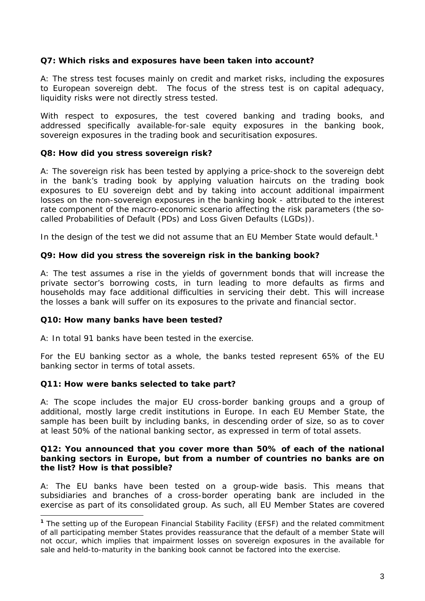# **Q7: Which risks and exposures have been taken into account?**

A: The stress test focuses mainly on credit and market risks, including the exposures to European sovereign debt. The focus of the stress test is on capital adequacy, liquidity risks were not directly stress tested.

With respect to exposures, the test covered banking and trading books, and addressed specifically available-for-sale equity exposures in the banking book, sovereign exposures in the trading book and securitisation exposures.

# **Q8: How did you stress sovereign risk?**

A: The sovereign risk has been tested by applying a price-shock to the [sovereign debt](http://noir.bloomberg.com/apps/quote?ticker=BEBANKS%3AIND) in the bank's trading book by applying valuation haircuts on the trading book exposures to EU sovereign debt and by taking into account additional impairment losses on the non-sovereign exposures in the banking book - attributed to the interest rate component of the macro-economic scenario affecting the risk parameters (the socalled Probabilities of Default (PDs) and Loss Given Defaults (LGDs)).

In the design of the test we did not assume that an EU Member State would default.**[1](#page-2-0)**

# **Q9: How did you stress the sovereign risk in the banking book?**

A: The test assumes a rise in the yields of government bonds that will increase the private sector's borrowing costs, in turn leading to more defaults as firms and households may face additional difficulties in servicing their debt. This will increase the losses a bank will suffer on its exposures to the private and financial sector.

# **Q10: How many banks have been tested?**

A: In total 91 banks have been tested in the exercise.

For the EU banking sector as a whole, the banks tested represent 65% of the EU banking sector in terms of total assets.

# **Q11: How were banks selected to take part?**

A: The scope includes the major EU cross-border banking groups and a group of additional, mostly large credit institutions in Europe. In each EU Member State, the sample has been built by including banks, in descending order of size, so as to cover at least 50% of the national banking sector, as expressed in term of total assets.

# **Q12: You announced that you cover more than 50% of each of the national banking sectors in Europe, but from a number of countries no banks are on the list? How is that possible?**

A: The EU banks have been tested on a group-wide basis. This means that subsidiaries and branches of a cross-border operating bank are included in the exercise as part of its consolidated group. As such, all EU Member States are covered

<span id="page-2-0"></span> $\overline{a}$ **<sup>1</sup>** The setting up of the European Financial Stability Facility (EFSF) and the related commitment of all participating member States provides reassurance that the default of a member State will not occur, which implies that impairment losses on sovereign exposures in the available for sale and held-to-maturity in the banking book cannot be factored into the exercise.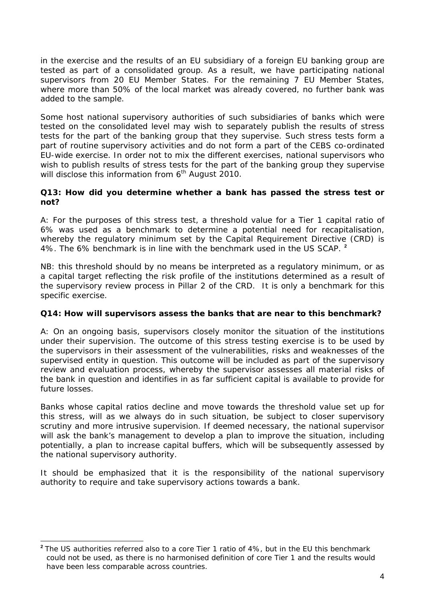in the exercise and the results of an EU subsidiary of a foreign EU banking group are tested as part of a consolidated group. As a result, we have participating national supervisors from 20 EU Member States. For the remaining 7 EU Member States, where more than 50% of the local market was already covered, no further bank was added to the sample.

Some host national supervisory authorities of such subsidiaries of banks which were tested on the consolidated level may wish to separately publish the results of stress tests for the part of the banking group that they supervise. Such stress tests form a part of routine supervisory activities and do not form a part of the CEBS co-ordinated EU-wide exercise. In order not to mix the different exercises, national supervisors who wish to publish results of stress tests for the part of the banking group they supervise will disclose this information from  $6<sup>th</sup>$  August 2010.

# **Q13: How did you determine whether a bank has passed the stress test or not?**

A: For the purposes of this stress test, a threshold value for a Tier 1 capital ratio of 6% was used as a benchmark to determine a potential need for recapitalisation, whereby the regulatory minimum set by the Capital Reguirement Directive (CRD) is 4%. The 6% benchmark is in line with the benchmark used in the US SCAP. **[2](#page-3-0)**

NB: this threshold should by no means be interpreted as a regulatory minimum, or as a capital target reflecting the risk profile of the institutions determined as a result of the supervisory review process in Pillar 2 of the CRD. It is only a benchmark for this specific exercise.

# **Q14: How will supervisors assess the banks that are near to this benchmark?**

A: On an ongoing basis, supervisors closely monitor the situation of the institutions under their supervision. The outcome of this stress testing exercise is to be used by the supervisors in their assessment of the vulnerabilities, risks and weaknesses of the supervised entity in question. This outcome will be included as part of the supervisory review and evaluation process, whereby the supervisor assesses all material risks of the bank in question and identifies in as far sufficient capital is available to provide for future losses.

Banks whose capital ratios decline and move towards the threshold value set up for this stress, will as we always do in such situation, be subject to closer supervisory scrutiny and more intrusive supervision. If deemed necessary, the national supervisor will ask the bank's management to develop a plan to improve the situation, including potentially, a plan to increase capital buffers, which will be subsequently assessed by the national supervisory authority.

It should be emphasized that it is the responsibility of the national supervisory authority to require and take supervisory actions towards a bank.

<span id="page-3-0"></span>**<sup>2</sup>** The US authorities referred also to a core Tier 1 ratio of 4%, but in the EU this benchmark could not be used, as there is no harmonised definition of core Tier 1 and the results would have been less comparable across countries.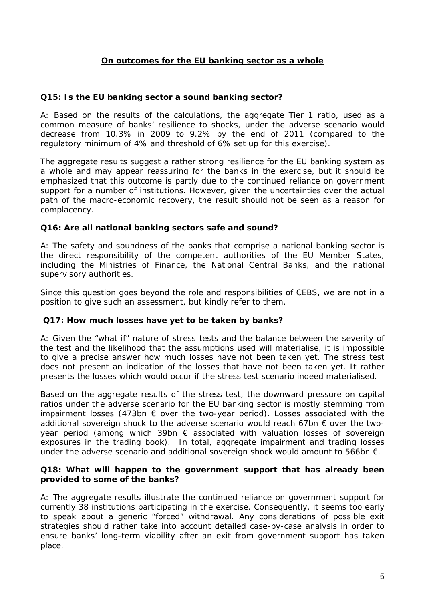# **On outcomes for the EU banking sector as a whole**

# **Q15: Is the EU banking sector a sound banking sector?**

A: Based on the results of the calculations, the aggregate Tier 1 ratio, used as a common measure of banks' resilience to shocks, under the adverse scenario would decrease from 10.3% in 2009 to 9.2% by the end of 2011 (compared to the regulatory minimum of 4% and threshold of 6% set up for this exercise).

The aggregate results suggest a rather strong resilience for the EU banking system as a whole and may appear reassuring for the banks in the exercise, but it should be emphasized that this outcome is partly due to the continued reliance on government support for a number of institutions. However, given the uncertainties over the actual path of the macro-economic recovery, the result should not be seen as a reason for complacency.

# **Q16: Are all national banking sectors safe and sound?**

A: The safety and soundness of the banks that comprise a national banking sector is the direct responsibility of the competent authorities of the EU Member States, including the Ministries of Finance, the National Central Banks, and the national supervisory authorities.

Since this question goes beyond the role and responsibilities of CEBS, we are not in a position to give such an assessment, but kindly refer to them.

# **Q17: How much losses have yet to be taken by banks?**

A: Given the "what if" nature of stress tests and the balance between the severity of the test and the likelihood that the assumptions used will materialise, it is impossible to give a precise answer how much losses have not been taken yet. The stress test does not present an indication of the losses that have not been taken yet. It rather presents the losses which would occur if the stress test scenario indeed materialised.

Based on the aggregate results of the stress test, the downward pressure on capital ratios under the adverse scenario for the EU banking sector is mostly stemming from impairment losses (473bn  $\epsilon$  over the two-year period). Losses associated with the additional sovereign shock to the adverse scenario would reach 67bn  $\epsilon$  over the twoyear period (among which 39bn  $\epsilon$  associated with valuation losses of sovereign exposures in the trading book). In total, aggregate impairment and trading losses under the adverse scenario and additional sovereign shock would amount to 566bn €.

# **Q18: What will happen to the government support that has already been provided to some of the banks?**

A: The aggregate results illustrate the continued reliance on government support for currently 38 institutions participating in the exercise. Consequently, it seems too early to speak about a generic "forced" withdrawal. Any considerations of possible exit strategies should rather take into account detailed case-by-case analysis in order to ensure banks' long-term viability after an exit from government support has taken place.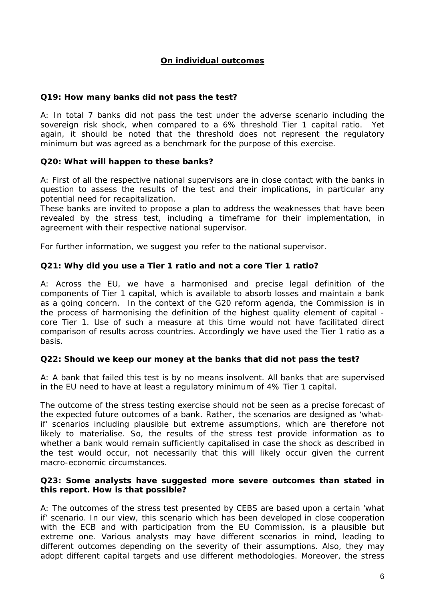# **On individual outcomes**

# **Q19: How many banks did not pass the test?**

A: In total 7 banks did not pass the test under the adverse scenario including the sovereign risk shock, when compared to a 6% threshold Tier 1 capital ratio. Yet again, it should be noted that the threshold does not represent the regulatory minimum but was agreed as a benchmark for the purpose of this exercise.

# **Q20: What will happen to these banks?**

A: First of all the respective national supervisors are in close contact with the banks in question to assess the results of the test and their implications, in particular any potential need for recapitalization.

These banks are invited to propose a plan to address the weaknesses that have been revealed by the stress test, including a timeframe for their implementation, in agreement with their respective national supervisor.

For further information, we suggest you refer to the national supervisor.

# **Q21: Why did you use a Tier 1 ratio and not a core Tier 1 ratio?**

A: Across the EU, we have a harmonised and precise legal definition of the components of Tier 1 capital, which is available to absorb losses and maintain a bank as a going concern. In the context of the G20 reform agenda, the Commission is in the process of harmonising the definition of the highest quality element of capital core Tier 1. Use of such a measure at this time would not have facilitated direct comparison of results across countries. Accordingly we have used the Tier 1 ratio as a basis.

# **Q22: Should we keep our money at the banks that did not pass the test?**

A: A bank that failed this test is by no means insolvent. All banks that are supervised in the EU need to have at least a regulatory minimum of 4% Tier 1 capital.

The outcome of the stress testing exercise should not be seen as a precise forecast of the expected future outcomes of a bank. Rather, the scenarios are designed as 'whatif' scenarios including plausible but extreme assumptions, which are therefore not likely to materialise. So, the results of the stress test provide information as to whether a bank would remain sufficiently capitalised in case the shock as described in the test would occur, not necessarily that this will likely occur given the current macro-economic circumstances.

# **Q23: Some analysts have suggested more severe outcomes than stated in this report. How is that possible?**

A: The outcomes of the stress test presented by CEBS are based upon a certain 'what if' scenario. In our view, this scenario which has been developed in close cooperation with the ECB and with participation from the EU Commission, is a plausible but extreme one. Various analysts may have different scenarios in mind, leading to different outcomes depending on the severity of their assumptions. Also, they may adopt different capital targets and use different methodologies. Moreover, the stress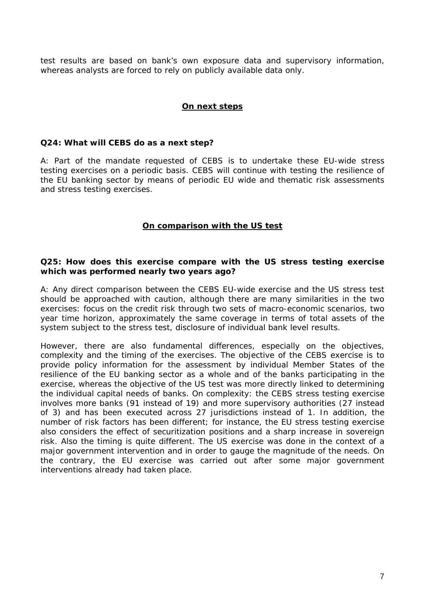test results are based on bank's own exposure data and supervisory information, whereas analysts are forced to rely on publicly available data only.

# **On next steps**

#### **Q24: What will CEBS do as a next step?**

A: Part of the mandate requested of CEBS is to undertake these EU-wide stress testing exercises on a periodic basis. CEBS will continue with testing the resilience of the EU banking sector by means of periodic EU wide and thematic risk assessments and stress testing exercises.

# **On comparison with the US test**

#### **Q25: How does this exercise compare with the US stress testing exercise which was performed nearly two years ago?**

A: Any direct comparison between the CEBS EU-wide exercise and the US stress test should be approached with caution, although there are many similarities in the two exercises: focus on the credit risk through two sets of macro-economic scenarios, two year time horizon, approximately the same coverage in terms of total assets of the system subject to the stress test, disclosure of individual bank level results.

However, there are also fundamental differences, especially on the objectives, complexity and the timing of the exercises. The objective of the CEBS exercise is to provide policy information for the assessment by individual Member States of the resilience of the EU banking sector as a whole and of the banks participating in the exercise, whereas the objective of the US test was more directly linked to determining the individual capital needs of banks. On complexity: the CEBS stress testing exercise involves more banks (91 instead of 19) and more supervisory authorities (27 instead of 3) and has been executed across 27 jurisdictions instead of 1. In addition, the number of risk factors has been different; for instance, the EU stress testing exercise also considers the effect of securitization positions and a sharp increase in sovereign risk. Also the timing is quite different. The US exercise was done in the context of a major government intervention and in order to gauge the magnitude of the needs. On the contrary, the EU exercise was carried out after some major government interventions already had taken place.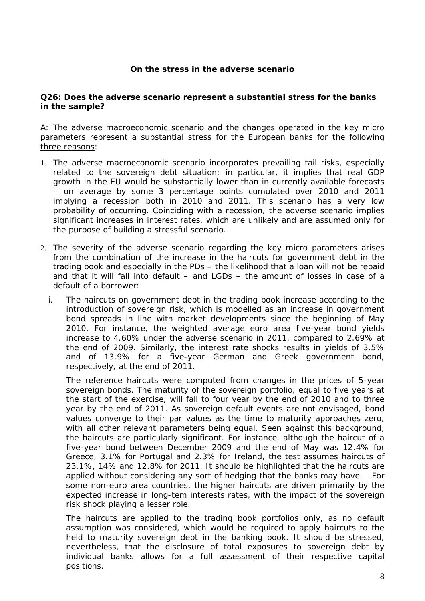# **On the stress in the adverse scenario**

# **Q26: Does the adverse scenario represent a substantial stress for the banks in the sample?**

A: The adverse macroeconomic scenario and the changes operated in the key micro parameters represent a substantial stress for the European banks for the following three reasons:

- 1. The adverse macroeconomic scenario incorporates prevailing tail risks, especially related to the sovereign debt situation; in particular, it implies that real GDP growth in the EU would be substantially lower than in currently available forecasts – on average by some 3 percentage points cumulated over 2010 and 2011 implying a recession both in 2010 and 2011. This scenario has a very low probability of occurring. Coinciding with a recession, the adverse scenario implies significant increases in interest rates, which are unlikely and are assumed only for the purpose of building a stressful scenario.
- 2. The severity of the adverse scenario regarding the key micro parameters arises from the combination of the increase in the haircuts for government debt in the trading book and especially in the PDs – the likelihood that a loan will not be repaid and that it will fall into default – and LGDs – the amount of losses in case of a default of a borrower:
	- i. The haircuts on government debt in the trading book increase according to the introduction of sovereign risk, which is modelled as an increase in government bond spreads in line with market developments since the beginning of May 2010. For instance, the weighted average euro area five-year bond yields increase to 4.60% under the adverse scenario in 2011, compared to 2.69% at the end of 2009. Similarly, the interest rate shocks results in yields of 3.5% and of 13.9% for a five-year German and Greek government bond, respectively, at the end of 2011.

The reference haircuts were computed from changes in the prices of 5-year sovereign bonds. The maturity of the sovereign portfolio, equal to five years at the start of the exercise, will fall to four year by the end of 2010 and to three year by the end of 2011. As sovereign default events are not envisaged, bond values converge to their par values as the time to maturity approaches zero, with all other relevant parameters being equal. Seen against this background, the haircuts are particularly significant. For instance, although the haircut of a five-year bond between December 2009 and the end of May was 12.4% for Greece, 3.1% for Portugal and 2.3% for Ireland, the test assumes haircuts of 23.1%, 14% and 12.8% for 2011. It should be highlighted that the haircuts are applied without considering any sort of hedging that the banks may have. For some non-euro area countries, the higher haircuts are driven primarily by the expected increase in long-tem interests rates, with the impact of the sovereign risk shock playing a lesser role.

The haircuts are applied to the trading book portfolios only, as no default assumption was considered, which would be required to apply haircuts to the held to maturity sovereign debt in the banking book. It should be stressed, nevertheless, that the disclosure of total exposures to sovereign debt by individual banks allows for a full assessment of their respective capital positions.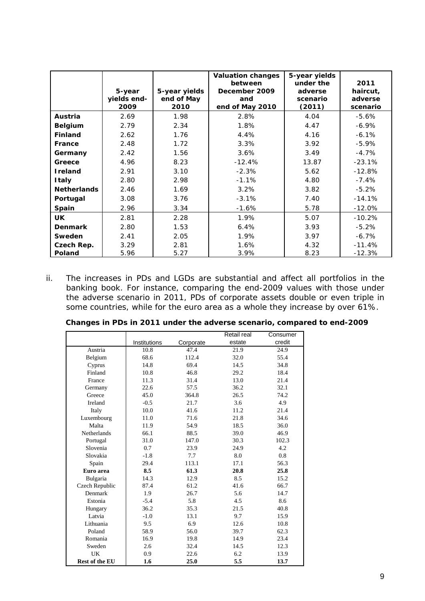|                    | 5-year<br>yields end-<br>2009 | 5-year yields<br>end of May<br>2010 | <b>Valuation changes</b><br>between<br>December 2009<br>and<br>end of May 2010 | 5-year yields<br>under the<br>adverse<br>scenario<br>(2011) | 2011<br>haircut,<br>adverse<br>scenario |
|--------------------|-------------------------------|-------------------------------------|--------------------------------------------------------------------------------|-------------------------------------------------------------|-----------------------------------------|
| Austria            | 2.69                          | 1.98                                | 2.8%                                                                           | 4.04                                                        | $-5.6%$                                 |
| <b>Belgium</b>     | 2.79                          | 2.34                                | 1.8%                                                                           | 4.47                                                        | $-6.9\%$                                |
| <b>Finland</b>     | 2.62                          | 1.76                                | 4.4%                                                                           | 4.16                                                        | $-6.1%$                                 |
| France             | 2.48                          | 1.72                                | 3.3%                                                                           | 3.92                                                        | $-5.9%$                                 |
| Germany            | 2.42                          | 1.56                                | 3.6%                                                                           | 3.49                                                        | $-4.7%$                                 |
| Greece             | 4.96                          | 8.23                                | $-12.4%$                                                                       | 13.87                                                       | $-23.1%$                                |
| <b>I</b> reland    | 2.91                          | 3.10                                | $-2.3%$                                                                        | 5.62                                                        | $-12.8%$                                |
| <b>Italy</b>       | 2.80                          | 2.98                                | $-1.1%$                                                                        | 4.80                                                        | $-7.4%$                                 |
| <b>Netherlands</b> | 2.46                          | 1.69                                | 3.2%                                                                           | 3.82                                                        | $-5.2%$                                 |
| Portugal           | 3.08                          | 3.76                                | $-3.1%$                                                                        | 7.40                                                        | $-14.1%$                                |
| Spain              | 2.96                          | 3.34                                | $-1.6%$                                                                        | 5.78                                                        | $-12.0%$                                |
| <b>UK</b>          | 2.81                          | 2.28                                | 1.9%                                                                           | 5.07                                                        | $-10.2%$                                |
| <b>Denmark</b>     | 2.80                          | 1.53                                | 6.4%                                                                           | 3.93                                                        | $-5.2%$                                 |
| <b>Sweden</b>      | 2.41                          | 2.05                                | 1.9%                                                                           | 3.97                                                        | $-6.7\%$                                |
| Czech Rep.         | 3.29                          | 2.81                                | 1.6%                                                                           | 4.32                                                        | $-11.4%$                                |
| <b>Poland</b>      | 5.96                          | 5.27                                | 3.9%                                                                           | 8.23                                                        | $-12.3%$                                |

ii. The increases in PDs and LGDs are substantial and affect all portfolios in the banking book. For instance, comparing the end-2009 values with those under the adverse scenario in 2011, PDs of corporate assets double or even triple in some countries, while for the euro area as a whole they increase by over 61%.

|                       |              |           | Retail real | Consumer |
|-----------------------|--------------|-----------|-------------|----------|
|                       | Institutions | Corporate | estate      | credit   |
| Austria               | 10.8         | 47.4      | 21.9        | 24.9     |
| Belgium               | 68.6         | 112.4     | 32.0        | 55.4     |
| Cyprus                | 14.8         | 69.4      | 14.5        | 34.8     |
| Finland               | 10.8         | 46.8      | 29.2        | 18.4     |
| France                | 11.3         | 31.4      | 13.0        | 21.4     |
| Germany               | 22.6         | 57.5      | 36.2        | 32.1     |
| Greece                | 45.0         | 364.8     | 26.5        | 74.2     |
| Ireland               | $-0.5$       | 21.7      | 3.6         | 4.9      |
| Italy                 | 10.0         | 41.6      | 11.2        | 21.4     |
| Luxembourg            | 11.0         | 71.6      | 21.8        | 34.6     |
| Malta                 | 11.9         | 54.9      | 18.5        | 36.0     |
| Netherlands           | 66.1         | 88.5      | 39.0        | 46.9     |
| Portugal              | 31.0         | 147.0     | 30.3        | 102.3    |
| Slovenia              | 0.7          | 23.9      | 24.9        | 4.2      |
| Slovakia              | $-1.8$       | 7.7       | 8.0         | 0.8      |
| Spain                 | 29.4         | 113.1     | 17.1        | 56.3     |
| Euro area             | 8.5          | 61.3      | 20.8        | 25.8     |
| Bulgaria              | 14.3         | 12.9      | 8.5         | 15.2     |
| Czech Republic        | 87.4         | 61.2      | 41.6        | 66.7     |
| Denmark               | 1.9          | 26.7      | 5.6         | 14.7     |
| Estonia               | $-5.4$       | 5.8       | 4.5         | 8.6      |
| Hungary               | 36.2         | 35.3      | 21.5        | 40.8     |
| Latvia                | $-1.0$       | 13.1      | 9.7         | 15.9     |
| Lithuania             | 9.5          | 6.9       | 12.6        | 10.8     |
| Poland                | 58.9         | 56.0      | 39.7        | 62.3     |
| Romania               | 16.9         | 19.8      | 14.9        | 23.4     |
| Sweden                | 2.6          | 32.4      | 14.5        | 12.3     |
| UK                    | 0.9          | 22.6      | 6.2         | 13.9     |
| <b>Rest of the EU</b> | 1.6          | 25.0      | 5.5         | 13.7     |

**Changes in PDs in 2011 under the adverse scenario, compared to end-2009**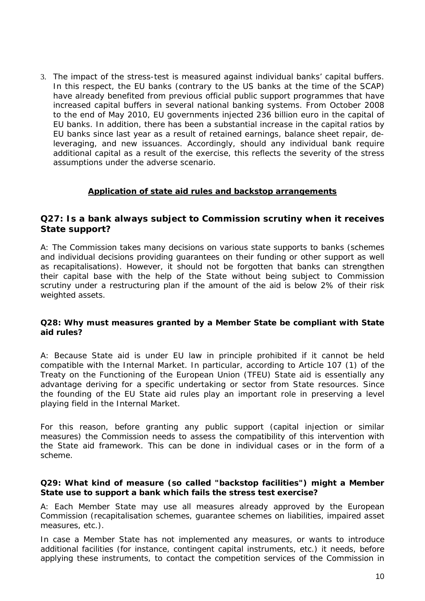3. The impact of the stress-test is measured against individual banks' capital buffers. In this respect, the EU banks (contrary to the US banks at the time of the SCAP) have already benefited from previous official public support programmes that have increased capital buffers in several national banking systems. From October 2008 to the end of May 2010, EU governments injected 236 billion euro in the capital of EU banks. In addition, there has been a substantial increase in the capital ratios by EU banks since last year as a result of retained earnings, balance sheet repair, deleveraging, and new issuances. Accordingly, should any individual bank require additional capital as a result of the exercise, this reflects the severity of the stress assumptions under the adverse scenario.

# **Application of state aid rules and backstop arrangements**

# **Q27: Is a bank always subject to Commission scrutiny when it receives State support?**

A: The Commission takes many decisions on various state supports to banks (schemes and individual decisions providing guarantees on their funding or other support as well as recapitalisations). However, it should not be forgotten that banks can strengthen their capital base with the help of the State without being subject to Commission scrutiny under a restructuring plan if the amount of the aid is below 2% of their risk weighted assets.

# **Q28: Why must measures granted by a Member State be compliant with State aid rules?**

A: Because State aid is under EU law in principle prohibited if it cannot be held compatible with the Internal Market. In particular, according to Article 107 (1) of the Treaty on the Functioning of the European Union (TFEU) State aid is essentially any advantage deriving for a specific undertaking or sector from State resources. Since the founding of the EU State aid rules play an important role in preserving a level playing field in the Internal Market.

For this reason, before granting any public support (capital injection or similar measures) the Commission needs to assess the compatibility of this intervention with the State aid framework. This can be done in individual cases or in the form of a scheme.

# **Q29: What kind of measure (so called "backstop facilities") might a Member State use to support a bank which fails the stress test exercise?**

A: Each Member State may use all measures already approved by the European Commission (recapitalisation schemes, guarantee schemes on liabilities, impaired asset measures, etc.).

In case a Member State has not implemented any measures, or wants to introduce additional facilities (for instance, contingent capital instruments, etc.) it needs, before applying these instruments, to contact the competition services of the Commission in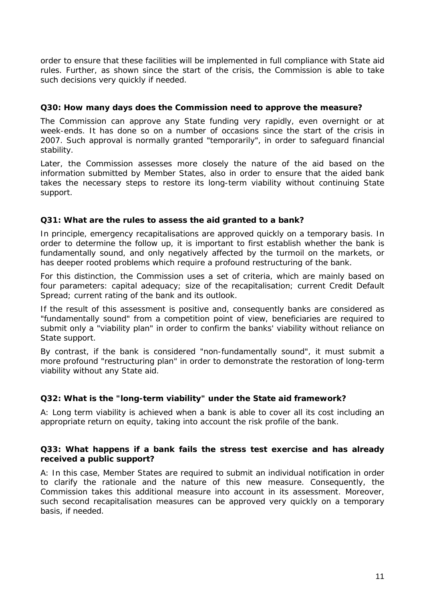order to ensure that these facilities will be implemented in full compliance with State aid rules. Further, as shown since the start of the crisis, the Commission is able to take such decisions very quickly if needed.

# **Q30: How many days does the Commission need to approve the measure?**

The Commission can approve any State funding very rapidly, even overnight or at week-ends. It has done so on a number of occasions since the start of the crisis in 2007. Such approval is normally granted "temporarily", in order to safeguard financial stability.

Later, the Commission assesses more closely the nature of the aid based on the information submitted by Member States, also in order to ensure that the aided bank takes the necessary steps to restore its long-term viability without continuing State support.

# **Q31: What are the rules to assess the aid granted to a bank?**

In principle, emergency recapitalisations are approved quickly on a temporary basis. In order to determine the follow up, it is important to first establish whether the bank is fundamentally sound, and only negatively affected by the turmoil on the markets, or has deeper rooted problems which require a profound restructuring of the bank.

For this distinction, the Commission uses a set of criteria, which are mainly based on four parameters: capital adequacy; size of the recapitalisation; current Credit Default Spread; current rating of the bank and its outlook.

If the result of this assessment is positive and, consequently banks are considered as "fundamentally sound" from a competition point of view, beneficiaries are required to submit only a "viability plan" in order to confirm the banks' viability without reliance on State support.

By contrast, if the bank is considered "non-fundamentally sound", it must submit a more profound "restructuring plan" in order to demonstrate the restoration of long-term viability without any State aid.

# **Q32: What is the "long-term viability" under the State aid framework?**

A: Long term viability is achieved when a bank is able to cover all its cost including an appropriate return on equity, taking into account the risk profile of the bank.

# **Q33: What happens if a bank fails the stress test exercise and has already received a public support?**

A: In this case, Member States are required to submit an individual notification in order to clarify the rationale and the nature of this new measure. Consequently, the Commission takes this additional measure into account in its assessment. Moreover, such second recapitalisation measures can be approved very quickly on a temporary basis, if needed.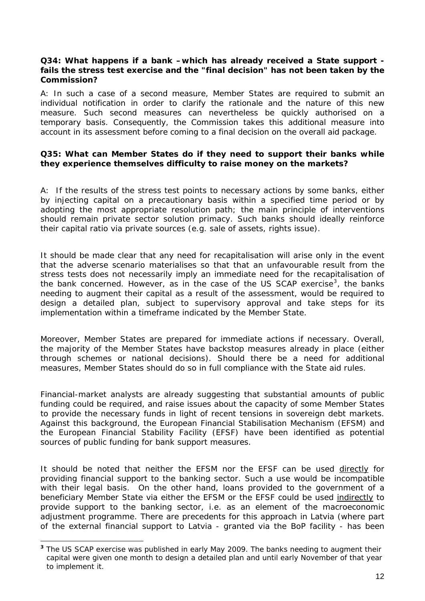# **Q34: What happens if a bank –which has already received a State support fails the stress test exercise and the "final decision" has not been taken by the Commission?**

A: In such a case of a second measure, Member States are required to submit an individual notification in order to clarify the rationale and the nature of this new measure. Such second measures can nevertheless be quickly authorised on a temporary basis. Consequently, the Commission takes this additional measure into account in its assessment before coming to a final decision on the overall aid package.

# **Q35: What can Member States do if they need to support their banks while they experience themselves difficulty to raise money on the markets?**

A: If the results of the stress test points to necessary actions by some banks, either by injecting capital on a precautionary basis within a specified time period or by adopting the most appropriate resolution path; the main principle of interventions should remain private sector solution primacy. Such banks should ideally reinforce their capital ratio via private sources (e.g. sale of assets, rights issue).

It should be made clear that any need for recapitalisation will arise only in the event that the adverse scenario materialises so that that an unfavourable result from the stress tests does not necessarily imply an immediate need for the recapitalisation of the bank concerned. However, as in the case of the US SCAP exercise<sup>[3](#page-11-0)</sup>, the banks needing to augment their capital as a result of the assessment, would be required to design a detailed plan, subject to supervisory approval and take steps for its implementation within a timeframe indicated by the Member State.

Moreover, Member States are prepared for immediate actions if necessary. Overall, the majority of the Member States have backstop measures already in place (either through schemes or national decisions). Should there be a need for additional measures, Member States should do so in full compliance with the State aid rules.

Financial-market analysts are already suggesting that substantial amounts of public funding could be required, and raise issues about the capacity of some Member States to provide the necessary funds in light of recent tensions in sovereign debt markets. Against this background, the European Financial Stabilisation Mechanism (EFSM) and the European Financial Stability Facility (EFSF) have been identified as potential sources of public funding for bank support measures.

It should be noted that neither the EFSM nor the EFSF can be used directly for providing financial support to the banking sector. Such a use would be incompatible with their legal basis. On the other hand, loans provided to the government of a beneficiary Member State via either the EFSM or the EFSF could be used indirectly to provide support to the banking sector, i.e. as an element of the macroeconomic adjustment programme. There are precedents for this approach in Latvia (where part of the external financial support to Latvia - granted via the BoP facility - has been

<span id="page-11-0"></span>**<sup>3</sup>** The US SCAP exercise was published in early May 2009. The banks needing to augment their capital were given one month to design a detailed plan and until early November of that year to implement it.